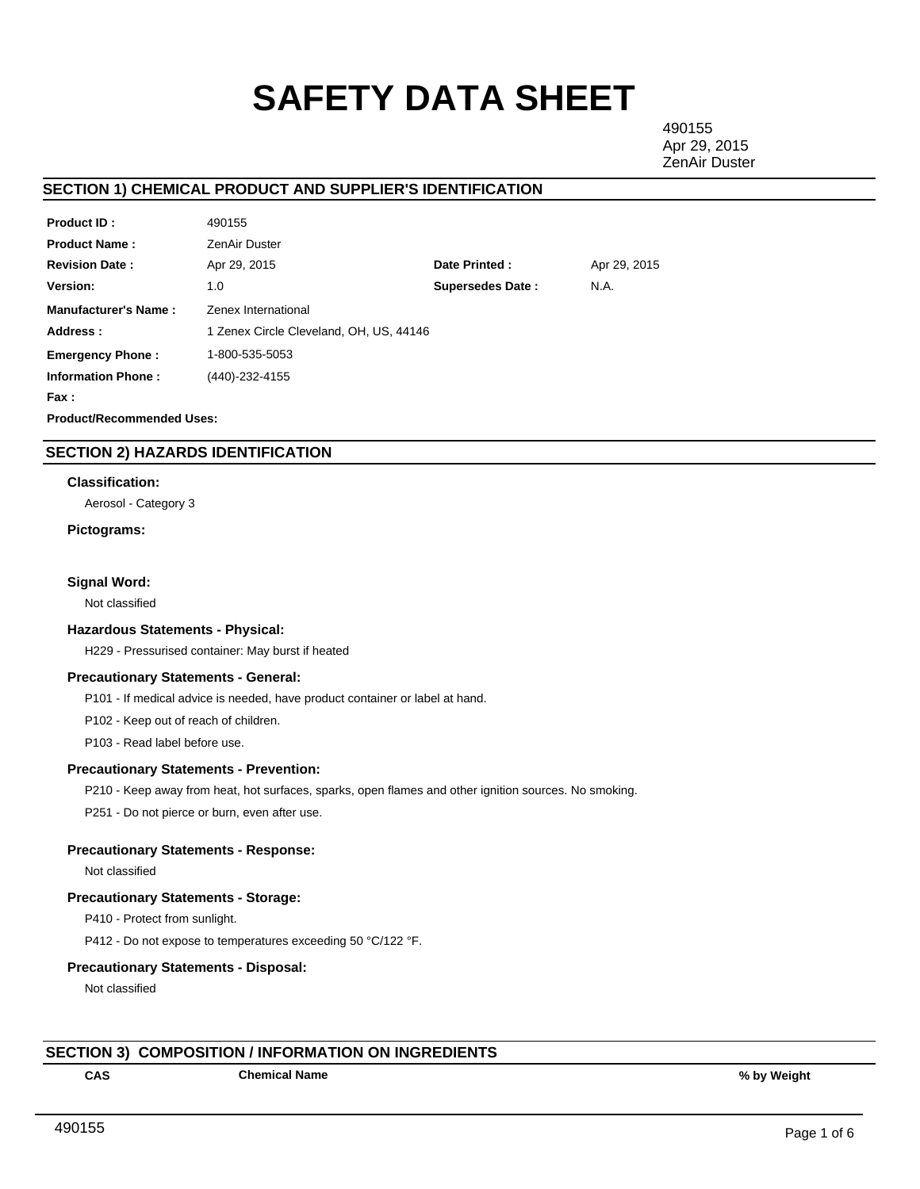# **SAFETY DATA SHEET**

490155 Apr 29, 2015 ZenAir Duster

# **SECTION 1) CHEMICAL PRODUCT AND SUPPLIER'S IDENTIFICATION**

| <b>Product ID:</b>               | 490155                                  |                         |              |  |  |  |
|----------------------------------|-----------------------------------------|-------------------------|--------------|--|--|--|
| <b>Product Name:</b>             | ZenAir Duster                           |                         |              |  |  |  |
| <b>Revision Date:</b>            | Apr 29, 2015                            | Date Printed:           | Apr 29, 2015 |  |  |  |
| <b>Version:</b>                  | 1.0                                     | <b>Supersedes Date:</b> | N.A.         |  |  |  |
| <b>Manufacturer's Name:</b>      | Zenex International                     |                         |              |  |  |  |
| Address:                         | 1 Zenex Circle Cleveland, OH, US, 44146 |                         |              |  |  |  |
| <b>Emergency Phone:</b>          | 1-800-535-5053                          |                         |              |  |  |  |
| <b>Information Phone:</b>        | (440)-232-4155                          |                         |              |  |  |  |
| Fax :                            |                                         |                         |              |  |  |  |
| <b>Product/Recommended Uses:</b> |                                         |                         |              |  |  |  |

# **SECTION 2) HAZARDS IDENTIFICATION**

## **Classification:**

Aerosol - Category 3

## **Pictograms:**

## **Signal Word:**

Not classified

#### **Hazardous Statements - Physical:**

H229 - Pressurised container: May burst if heated

## **Precautionary Statements - General:**

P101 - If medical advice is needed, have product container or label at hand.

P102 - Keep out of reach of children.

P103 - Read label before use.

## **Precautionary Statements - Prevention:**

P210 - Keep away from heat, hot surfaces, sparks, open flames and other ignition sources. No smoking.

P251 - Do not pierce or burn, even after use.

# **Precautionary Statements - Response:**

Not classified

## **Precautionary Statements - Storage:**

P410 - Protect from sunlight.

P412 - Do not expose to temperatures exceeding 50 °C/122 °F.

## **Precautionary Statements - Disposal:**

Not classified

# **SECTION 3) COMPOSITION / INFORMATION ON INGREDIENTS**

**CAS Chemical Name % by Weight**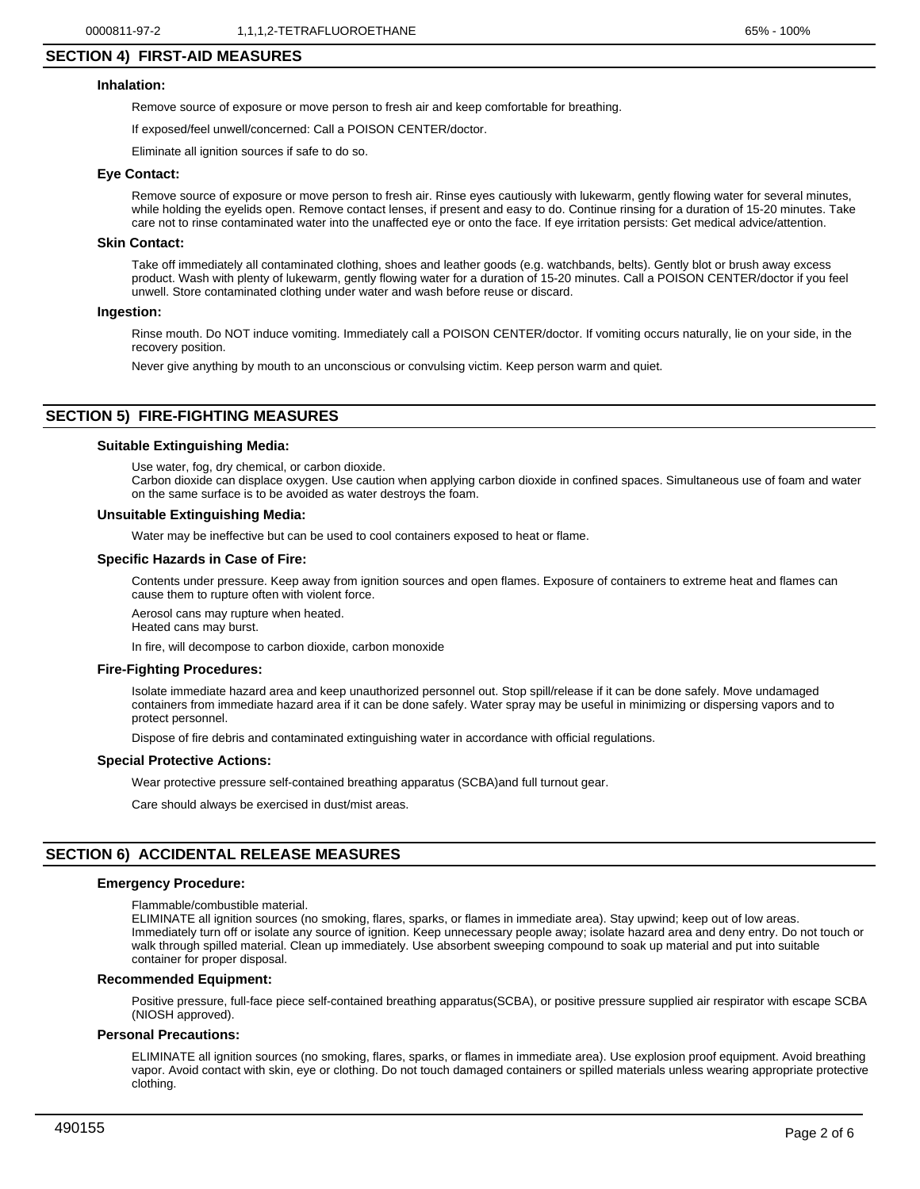# **SECTION 4) FIRST-AID MEASURES**

## **Inhalation:**

Remove source of exposure or move person to fresh air and keep comfortable for breathing.

If exposed/feel unwell/concerned: Call a POISON CENTER/doctor.

Eliminate all ignition sources if safe to do so.

## **Eye Contact:**

Remove source of exposure or move person to fresh air. Rinse eyes cautiously with lukewarm, gently flowing water for several minutes, while holding the eyelids open. Remove contact lenses, if present and easy to do. Continue rinsing for a duration of 15-20 minutes. Take care not to rinse contaminated water into the unaffected eye or onto the face. If eye irritation persists: Get medical advice/attention.

#### **Skin Contact:**

Take off immediately all contaminated clothing, shoes and leather goods (e.g. watchbands, belts). Gently blot or brush away excess product. Wash with plenty of lukewarm, gently flowing water for a duration of 15-20 minutes. Call a POISON CENTER/doctor if you feel unwell. Store contaminated clothing under water and wash before reuse or discard.

#### **Ingestion:**

Rinse mouth. Do NOT induce vomiting. Immediately call a POISON CENTER/doctor. If vomiting occurs naturally, lie on your side, in the recovery position.

Never give anything by mouth to an unconscious or convulsing victim. Keep person warm and quiet.

## **SECTION 5) FIRE-FIGHTING MEASURES**

#### **Suitable Extinguishing Media:**

Use water, fog, dry chemical, or carbon dioxide. Carbon dioxide can displace oxygen. Use caution when applying carbon dioxide in confined spaces. Simultaneous use of foam and water

on the same surface is to be avoided as water destroys the foam.

#### **Unsuitable Extinguishing Media:**

Water may be ineffective but can be used to cool containers exposed to heat or flame.

#### **Specific Hazards in Case of Fire:**

Contents under pressure. Keep away from ignition sources and open flames. Exposure of containers to extreme heat and flames can cause them to rupture often with violent force.

Aerosol cans may rupture when heated.

Heated cans may burst.

In fire, will decompose to carbon dioxide, carbon monoxide

#### **Fire-Fighting Procedures:**

Isolate immediate hazard area and keep unauthorized personnel out. Stop spill/release if it can be done safely. Move undamaged containers from immediate hazard area if it can be done safely. Water spray may be useful in minimizing or dispersing vapors and to protect personnel.

Dispose of fire debris and contaminated extinguishing water in accordance with official regulations.

#### **Special Protective Actions:**

Wear protective pressure self-contained breathing apparatus (SCBA)and full turnout gear.

Care should always be exercised in dust/mist areas.

#### **SECTION 6) ACCIDENTAL RELEASE MEASURES**

#### **Emergency Procedure:**

Flammable/combustible material.

ELIMINATE all ignition sources (no smoking, flares, sparks, or flames in immediate area). Stay upwind; keep out of low areas. Immediately turn off or isolate any source of ignition. Keep unnecessary people away; isolate hazard area and deny entry. Do not touch or walk through spilled material. Clean up immediately. Use absorbent sweeping compound to soak up material and put into suitable container for proper disposal.

#### **Recommended Equipment:**

Positive pressure, full-face piece self-contained breathing apparatus(SCBA), or positive pressure supplied air respirator with escape SCBA (NIOSH approved).

#### **Personal Precautions:**

ELIMINATE all ignition sources (no smoking, flares, sparks, or flames in immediate area). Use explosion proof equipment. Avoid breathing vapor. Avoid contact with skin, eye or clothing. Do not touch damaged containers or spilled materials unless wearing appropriate protective clothing.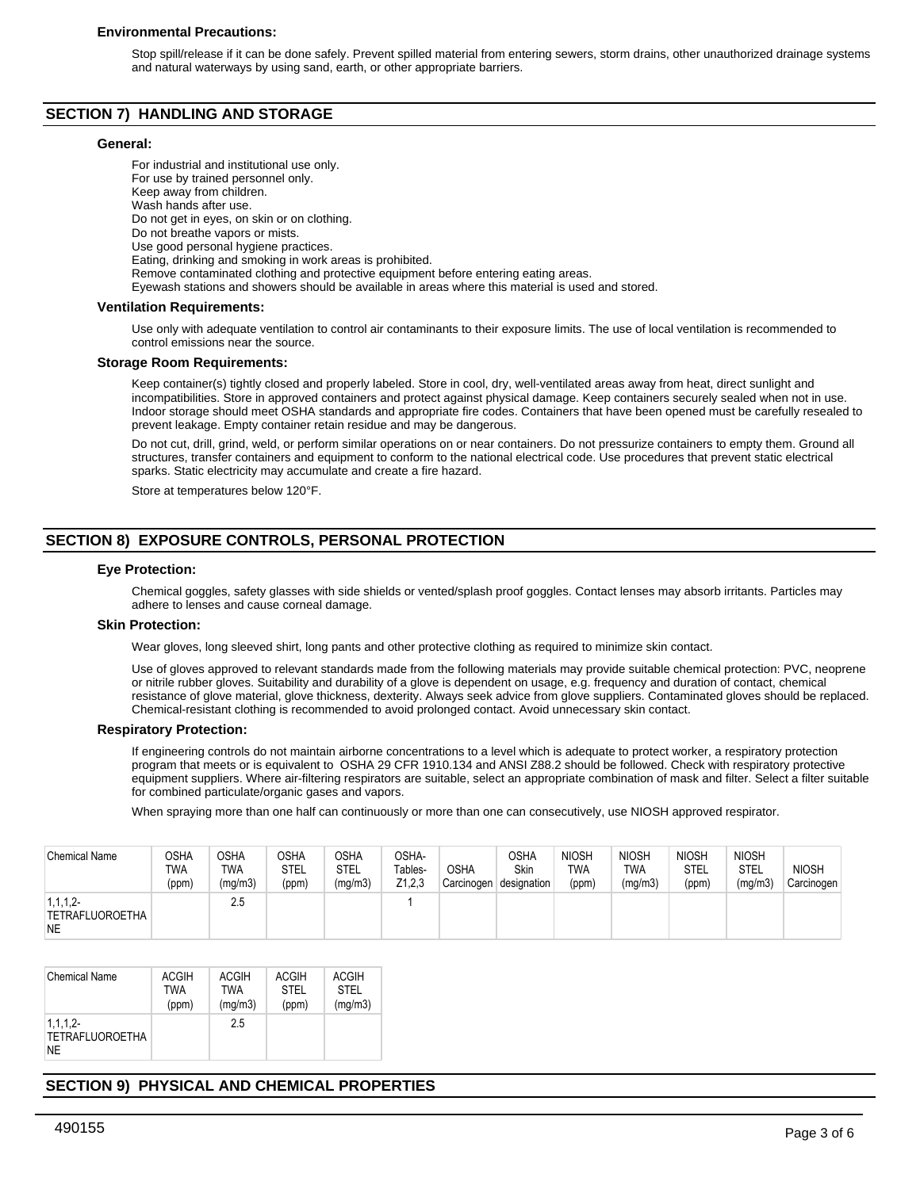#### **Environmental Precautions:**

Stop spill/release if it can be done safely. Prevent spilled material from entering sewers, storm drains, other unauthorized drainage systems and natural waterways by using sand, earth, or other appropriate barriers.

## **SECTION 7) HANDLING AND STORAGE**

#### **General:**

For industrial and institutional use only. For use by trained personnel only. Keep away from children. Wash hands after use. Do not get in eyes, on skin or on clothing. Do not breathe vapors or mists. Use good personal hygiene practices. Eating, drinking and smoking in work areas is prohibited. Remove contaminated clothing and protective equipment before entering eating areas. Eyewash stations and showers should be available in areas where this material is used and stored.

#### **Ventilation Requirements:**

Use only with adequate ventilation to control air contaminants to their exposure limits. The use of local ventilation is recommended to control emissions near the source.

#### **Storage Room Requirements:**

Keep container(s) tightly closed and properly labeled. Store in cool, dry, well-ventilated areas away from heat, direct sunlight and incompatibilities. Store in approved containers and protect against physical damage. Keep containers securely sealed when not in use. Indoor storage should meet OSHA standards and appropriate fire codes. Containers that have been opened must be carefully resealed to prevent leakage. Empty container retain residue and may be dangerous.

Do not cut, drill, grind, weld, or perform similar operations on or near containers. Do not pressurize containers to empty them. Ground all structures, transfer containers and equipment to conform to the national electrical code. Use procedures that prevent static electrical sparks. Static electricity may accumulate and create a fire hazard.

Store at temperatures below 120°F.

# **SECTION 8) EXPOSURE CONTROLS, PERSONAL PROTECTION**

#### **Eye Protection:**

Chemical goggles, safety glasses with side shields or vented/splash proof goggles. Contact lenses may absorb irritants. Particles may adhere to lenses and cause corneal damage.

#### **Skin Protection:**

Wear gloves, long sleeved shirt, long pants and other protective clothing as required to minimize skin contact.

Use of gloves approved to relevant standards made from the following materials may provide suitable chemical protection: PVC, neoprene or nitrile rubber gloves. Suitability and durability of a glove is dependent on usage, e.g. frequency and duration of contact, chemical resistance of glove material, glove thickness, dexterity. Always seek advice from glove suppliers. Contaminated gloves should be replaced. Chemical-resistant clothing is recommended to avoid prolonged contact. Avoid unnecessary skin contact.

#### **Respiratory Protection:**

If engineering controls do not maintain airborne concentrations to a level which is adequate to protect worker, a respiratory protection program that meets or is equivalent to OSHA 29 CFR 1910.134 and ANSI Z88.2 should be followed. Check with respiratory protective equipment suppliers. Where air-filtering respirators are suitable, select an appropriate combination of mask and filter. Select a filter suitable for combined particulate/organic gases and vapors.

When spraying more than one half can continuously or more than one can consecutively, use NIOSH approved respirator.

| <b>Chemical Name</b>                                  | OSHA<br>TWA<br>(ppm) | OSHA<br><b>TWA</b><br>(mg/m3) | <b>OSHA</b><br><b>STEL</b><br>(ppm) | OSHA<br>STEL<br>(mg/m3) | OSHA-<br>Tables-<br>Z1,2,3 | <b>OSHA</b><br>Carcinogen | OSHA<br><b>Skin</b><br>designation | <b>NIOSH</b><br><b>TWA</b><br>(ppm) | <b>NIOSH</b><br>TWA<br>(mg/m3) | <b>NIOSH</b><br>STEL<br>(ppm) | <b>NIOSH</b><br><b>STEL</b><br>(mg/m3) | NIOSH<br>Carcinogen |
|-------------------------------------------------------|----------------------|-------------------------------|-------------------------------------|-------------------------|----------------------------|---------------------------|------------------------------------|-------------------------------------|--------------------------------|-------------------------------|----------------------------------------|---------------------|
| $1, 1, 1, 2$ -<br><b>TETRAFLUOROETHA</b><br><b>NE</b> |                      | 2.5                           |                                     |                         |                            |                           |                                    |                                     |                                |                               |                                        |                     |

| <b>Chemical Name</b>                              | <b>ACGIH</b> | ACGIH   | <b>ACGIH</b> | <b>ACGIH</b> |
|---------------------------------------------------|--------------|---------|--------------|--------------|
|                                                   | <b>TWA</b>   | TWA     | <b>STEL</b>  | <b>STEL</b>  |
|                                                   | (ppm)        | (mq/m3) | (ppm)        | (mg/m3)      |
| 1, 1, 1, 2<br><b>TETRAFLUOROETHA</b><br><b>NE</b> |              | 2.5     |              |              |

# **SECTION 9) PHYSICAL AND CHEMICAL PROPERTIES**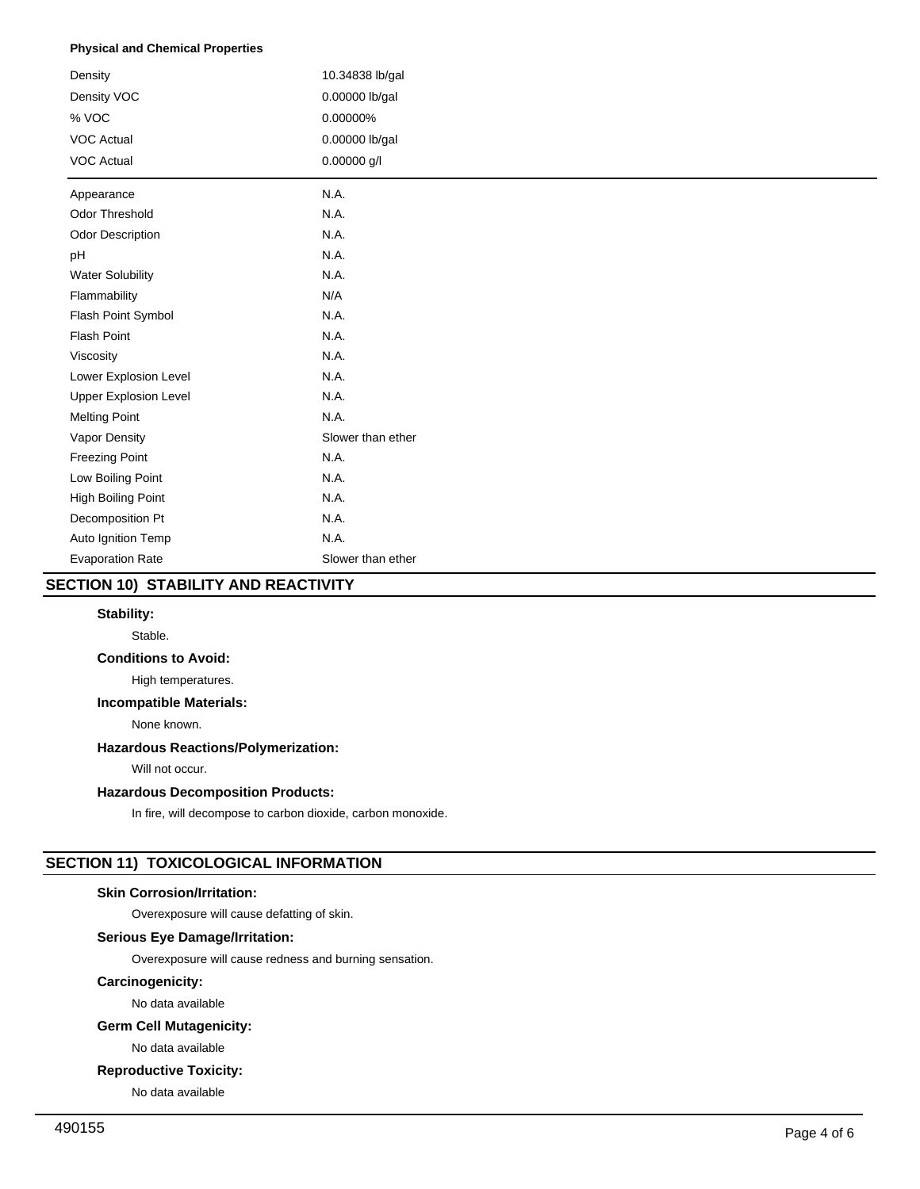## **Physical and Chemical Properties**

| Density                      | 10.34838 lb/gal   |
|------------------------------|-------------------|
| Density VOC                  | 0.00000 lb/gal    |
| % VOC                        | 0.00000%          |
| <b>VOC Actual</b>            | 0.00000 lb/gal    |
| <b>VOC Actual</b>            | 0.00000 g/l       |
| Appearance                   | N.A.              |
| Odor Threshold               | N.A.              |
| Odor Description             | N.A.              |
| pH                           | N.A.              |
| <b>Water Solubility</b>      | N.A.              |
| Flammability                 | N/A               |
| Flash Point Symbol           | N.A.              |
| <b>Flash Point</b>           | N.A.              |
| Viscosity                    | N.A.              |
| Lower Explosion Level        | N.A.              |
| <b>Upper Explosion Level</b> | N.A.              |
| <b>Melting Point</b>         | N.A.              |
| Vapor Density                | Slower than ether |
| <b>Freezing Point</b>        | N.A.              |
| Low Boiling Point            | N.A.              |
| High Boiling Point           | N.A.              |
| Decomposition Pt             | N.A.              |
| Auto Ignition Temp           | N.A.              |
| <b>Evaporation Rate</b>      | Slower than ether |

# **SECTION 10) STABILITY AND REACTIVITY**

## **Stability:**

Stable.

## **Conditions to Avoid:**

High temperatures.

# **Incompatible Materials:**

None known.

# **Hazardous Reactions/Polymerization:**

Will not occur.

## **Hazardous Decomposition Products:**

In fire, will decompose to carbon dioxide, carbon monoxide.

# **SECTION 11) TOXICOLOGICAL INFORMATION**

# **Skin Corrosion/Irritation:**

Overexposure will cause defatting of skin.

# **Serious Eye Damage/Irritation:**

Overexposure will cause redness and burning sensation.

# **Carcinogenicity:**

No data available

# **Germ Cell Mutagenicity:**

No data available

## **Reproductive Toxicity:**

No data available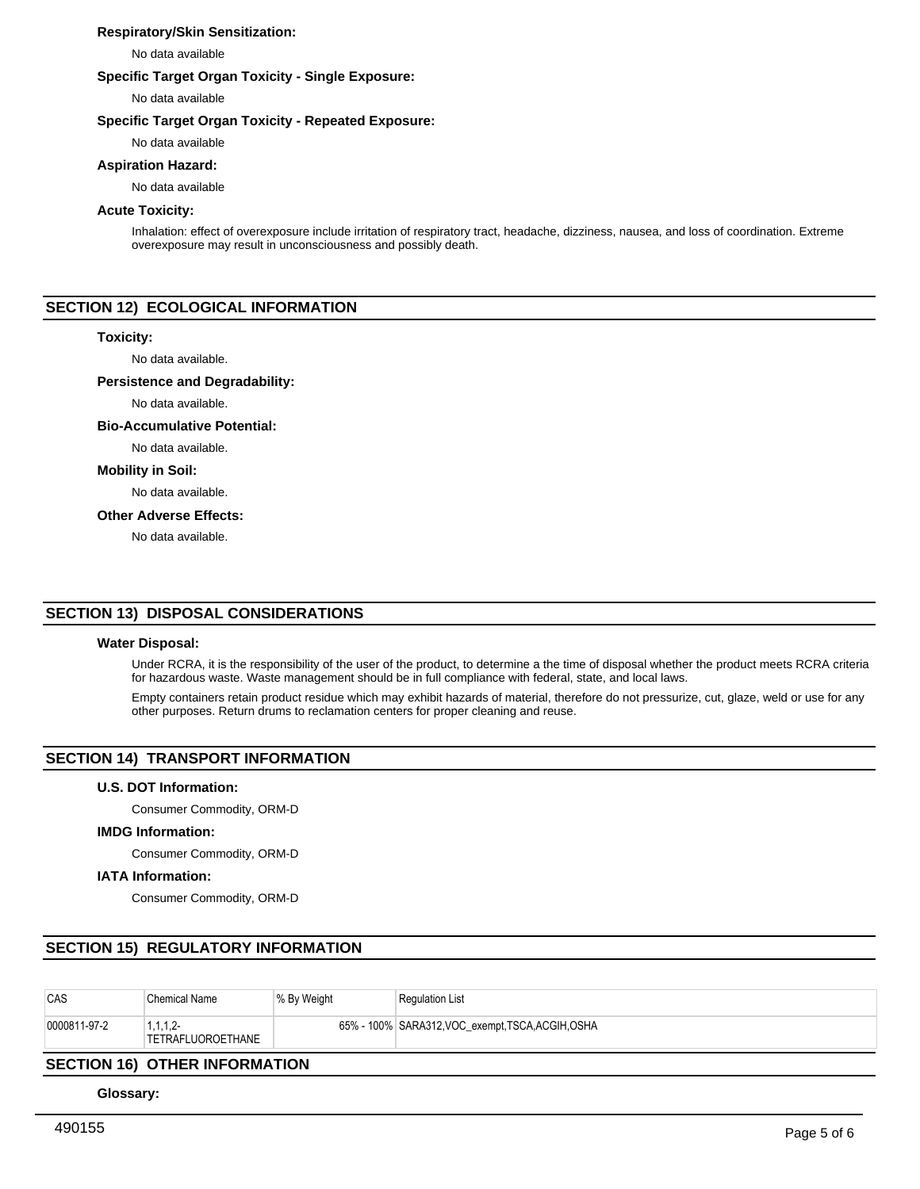## **Respiratory/Skin Sensitization:**

No data available

## **Specific Target Organ Toxicity - Single Exposure:**

No data available

## **Specific Target Organ Toxicity - Repeated Exposure:**

No data available

# **Aspiration Hazard:**

No data available

## **Acute Toxicity:**

Inhalation: effect of overexposure include irritation of respiratory tract, headache, dizziness, nausea, and loss of coordination. Extreme overexposure may result in unconsciousness and possibly death.

# **SECTION 12) ECOLOGICAL INFORMATION**

#### **Toxicity:**

No data available.

#### **Persistence and Degradability:**

No data available.

#### **Bio-Accumulative Potential:**

No data available.

#### **Mobility in Soil:**

No data available.

## **Other Adverse Effects:**

No data available.

## **SECTION 13) DISPOSAL CONSIDERATIONS**

## **Water Disposal:**

Under RCRA, it is the responsibility of the user of the product, to determine a the time of disposal whether the product meets RCRA criteria for hazardous waste. Waste management should be in full compliance with federal, state, and local laws.

Empty containers retain product residue which may exhibit hazards of material, therefore do not pressurize, cut, glaze, weld or use for any other purposes. Return drums to reclamation centers for proper cleaning and reuse.

# **SECTION 14) TRANSPORT INFORMATION**

## **U.S. DOT Information:**

Consumer Commodity, ORM-D

## **IMDG Information:**

Consumer Commodity, ORM-D

## **IATA Information:**

Consumer Commodity, ORM-D

# **SECTION 15) REGULATORY INFORMATION**

| CAS                                                                                                                                                                                                                                                                                                                                                                                                                          | <b>Chemical Name</b>            | <sup>∣ %</sup> By Weight | <b>Regulation List</b>                            |  |  |
|------------------------------------------------------------------------------------------------------------------------------------------------------------------------------------------------------------------------------------------------------------------------------------------------------------------------------------------------------------------------------------------------------------------------------|---------------------------------|--------------------------|---------------------------------------------------|--|--|
| 0000811-97-2                                                                                                                                                                                                                                                                                                                                                                                                                 | 1, 1, 1, 2<br>TETRAFLUOROETHANE |                          | 65% - 100% SARA312, VOC_exempt, TSCA, ACGIH, OSHA |  |  |
| $\mathbf{A} = \mathbf{A} + \mathbf{A} + \mathbf{A} + \mathbf{A} + \mathbf{A} + \mathbf{A} + \mathbf{A} + \mathbf{A} + \mathbf{A} + \mathbf{A} + \mathbf{A} + \mathbf{A} + \mathbf{A} + \mathbf{A} + \mathbf{A} + \mathbf{A} + \mathbf{A} + \mathbf{A} + \mathbf{A} + \mathbf{A} + \mathbf{A} + \mathbf{A} + \mathbf{A} + \mathbf{A} + \mathbf{A} + \mathbf{A} + \mathbf{A} + \mathbf{A} + \mathbf{A} + \mathbf{A} + \mathbf$ |                                 |                          |                                                   |  |  |

## **SECTION 16) OTHER INFORMATION**

**Glossary:**